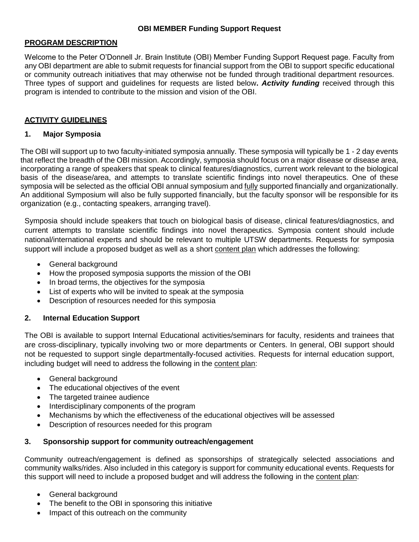#### **PROGRAM DESCRIPTION**

Welcome to the Peter O'Donnell Jr. Brain Institute (OBI) Member Funding Support Request page. Faculty from any OBI department are able to submit requests for financial support from the OBI to support specific educational or community outreach initiatives that may otherwise not be funded through traditional department resources. Three types of support and guidelines for requests are listed below**.** *Activity funding* received through this program is intended to contribute to the mission and vision of the OBI.

### **ACTIVITY GUIDELINES**

### **1. Major Symposia**

The OBI will support up to two faculty-initiated symposia annually. These symposia will typically be 1 - 2 day events that reflect the breadth of the OBI mission. Accordingly, symposia should focus on a major disease or disease area, incorporating a range of speakers that speak to clinical features/diagnostics, current work relevant to the biological basis of the disease/area, and attempts to translate scientific findings into novel therapeutics. One of these symposia will be selected as the official OBI annual symposium and fully supported financially and organizationally. An additional Symposium will also be fully supported financially, but the faculty sponsor will be responsible for its organization (e.g., contacting speakers, arranging travel).

Symposia should include speakers that touch on biological basis of disease, clinical features/diagnostics, and current attempts to translate scientific findings into novel therapeutics. Symposia content should include national/international experts and should be relevant to multiple UTSW departments. Requests for symposia support will include a proposed budget as well as a short content plan which addresses the following:

- General background
- How the proposed symposia supports the mission of the OBI
- In broad terms, the objectives for the symposia
- List of experts who will be invited to speak at the symposia
- Description of resources needed for this symposia

### **2. Internal Education Support**

The OBI is available to support Internal Educational activities/seminars for faculty, residents and trainees that are cross-disciplinary, typically involving two or more departments or Centers. In general, OBI support should not be requested to support single departmentally-focused activities. Requests for internal education support, including budget will need to address the following in the content plan:

- General background
- The educational objectives of the event
- The targeted trainee audience
- Interdisciplinary components of the program
- Mechanisms by which the effectiveness of the educational objectives will be assessed
- Description of resources needed for this program

### **3. Sponsorship support for community outreach/engagement**

Community outreach/engagement is defined as sponsorships of strategically selected associations and community walks/rides. Also included in this category is support for community educational events. Requests for this support will need to include a proposed budget and will address the following in the content plan:

- General background
- The benefit to the OBI in sponsoring this initiative
- Impact of this outreach on the community